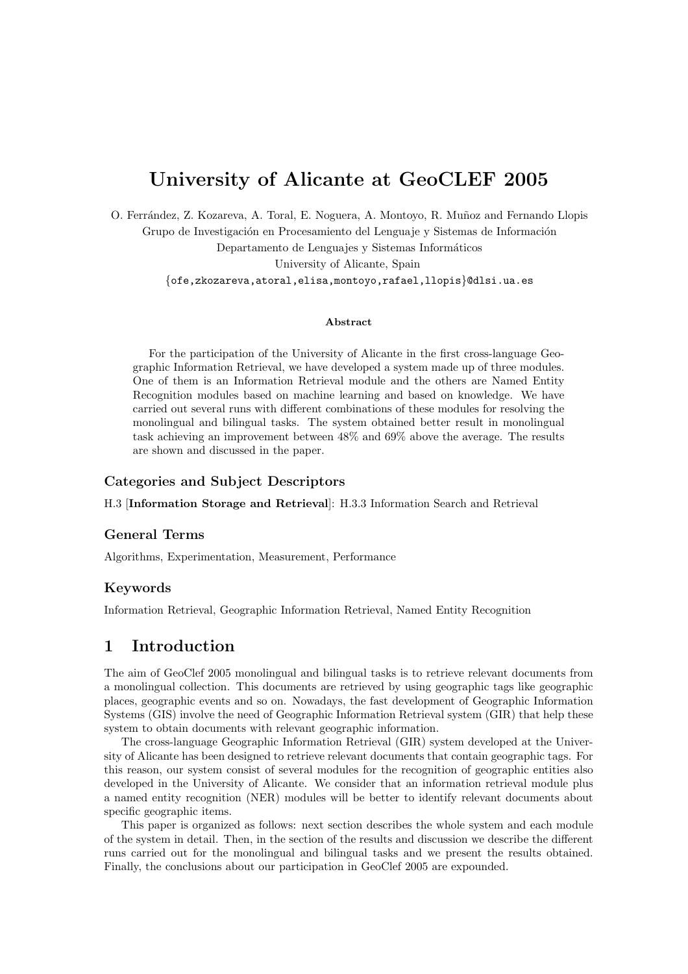# University of Alicante at GeoCLEF 2005

O. Ferrández, Z. Kozareva, A. Toral, E. Noguera, A. Montoyo, R. Muñoz and Fernando Llopis Grupo de Investigación en Procesamiento del Lenguaje y Sistemas de Información Departamento de Lenguajes y Sistemas Informáticos University of Alicante, Spain {ofe,zkozareva,atoral,elisa,montoyo,rafael,llopis}@dlsi.ua.es

#### Abstract

For the participation of the University of Alicante in the first cross-language Geographic Information Retrieval, we have developed a system made up of three modules. One of them is an Information Retrieval module and the others are Named Entity Recognition modules based on machine learning and based on knowledge. We have carried out several runs with different combinations of these modules for resolving the monolingual and bilingual tasks. The system obtained better result in monolingual task achieving an improvement between 48% and 69% above the average. The results are shown and discussed in the paper.

#### Categories and Subject Descriptors

H.3 [Information Storage and Retrieval]: H.3.3 Information Search and Retrieval

#### General Terms

Algorithms, Experimentation, Measurement, Performance

#### Keywords

Information Retrieval, Geographic Information Retrieval, Named Entity Recognition

### 1 Introduction

The aim of GeoClef 2005 monolingual and bilingual tasks is to retrieve relevant documents from a monolingual collection. This documents are retrieved by using geographic tags like geographic places, geographic events and so on. Nowadays, the fast development of Geographic Information Systems (GIS) involve the need of Geographic Information Retrieval system (GIR) that help these system to obtain documents with relevant geographic information.

The cross-language Geographic Information Retrieval (GIR) system developed at the University of Alicante has been designed to retrieve relevant documents that contain geographic tags. For this reason, our system consist of several modules for the recognition of geographic entities also developed in the University of Alicante. We consider that an information retrieval module plus a named entity recognition (NER) modules will be better to identify relevant documents about specific geographic items.

This paper is organized as follows: next section describes the whole system and each module of the system in detail. Then, in the section of the results and discussion we describe the different runs carried out for the monolingual and bilingual tasks and we present the results obtained. Finally, the conclusions about our participation in GeoClef 2005 are expounded.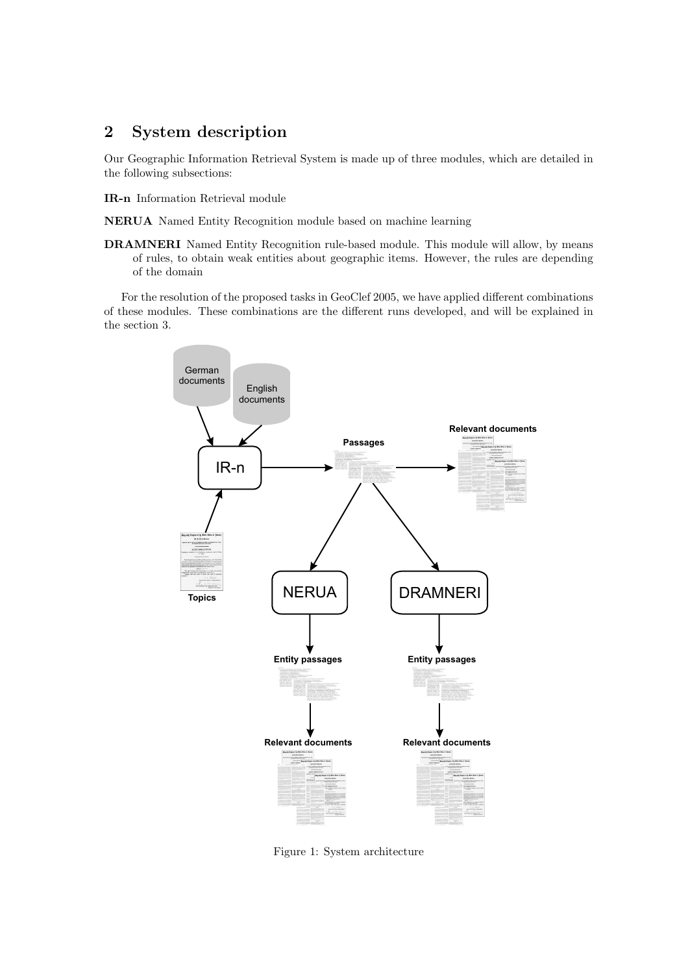## 2 System description

Our Geographic Information Retrieval System is made up of three modules, which are detailed in the following subsections:

IR-n Information Retrieval module

NERUA Named Entity Recognition module based on machine learning

DRAMNERI Named Entity Recognition rule-based module. This module will allow, by means of rules, to obtain weak entities about geographic items. However, the rules are depending of the domain

For the resolution of the proposed tasks in GeoClef 2005, we have applied different combinations of these modules. These combinations are the different runs developed, and will be explained in the section 3.



Figure 1: System architecture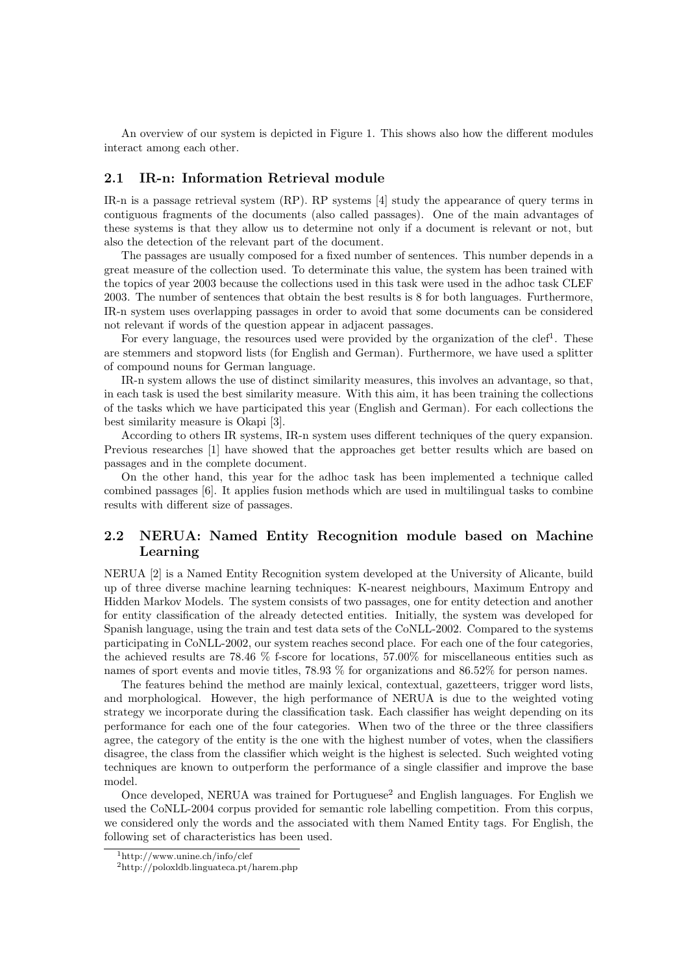An overview of our system is depicted in Figure 1. This shows also how the different modules interact among each other.

#### 2.1 IR-n: Information Retrieval module

IR-n is a passage retrieval system (RP). RP systems [4] study the appearance of query terms in contiguous fragments of the documents (also called passages). One of the main advantages of these systems is that they allow us to determine not only if a document is relevant or not, but also the detection of the relevant part of the document.

The passages are usually composed for a fixed number of sentences. This number depends in a great measure of the collection used. To determinate this value, the system has been trained with the topics of year 2003 because the collections used in this task were used in the adhoc task CLEF 2003. The number of sentences that obtain the best results is 8 for both languages. Furthermore, IR-n system uses overlapping passages in order to avoid that some documents can be considered not relevant if words of the question appear in adjacent passages.

For every language, the resources used were provided by the organization of the clef<sup>1</sup>. These are stemmers and stopword lists (for English and German). Furthermore, we have used a splitter of compound nouns for German language.

IR-n system allows the use of distinct similarity measures, this involves an advantage, so that, in each task is used the best similarity measure. With this aim, it has been training the collections of the tasks which we have participated this year (English and German). For each collections the best similarity measure is Okapi [3].

According to others IR systems, IR-n system uses different techniques of the query expansion. Previous researches [1] have showed that the approaches get better results which are based on passages and in the complete document.

On the other hand, this year for the adhoc task has been implemented a technique called combined passages [6]. It applies fusion methods which are used in multilingual tasks to combine results with different size of passages.

### 2.2 NERUA: Named Entity Recognition module based on Machine Learning

NERUA [2] is a Named Entity Recognition system developed at the University of Alicante, build up of three diverse machine learning techniques: K-nearest neighbours, Maximum Entropy and Hidden Markov Models. The system consists of two passages, one for entity detection and another for entity classification of the already detected entities. Initially, the system was developed for Spanish language, using the train and test data sets of the CoNLL-2002. Compared to the systems participating in CoNLL-2002, our system reaches second place. For each one of the four categories, the achieved results are 78.46 % f-score for locations, 57.00% for miscellaneous entities such as names of sport events and movie titles, 78.93 % for organizations and 86.52% for person names.

The features behind the method are mainly lexical, contextual, gazetteers, trigger word lists, and morphological. However, the high performance of NERUA is due to the weighted voting strategy we incorporate during the classification task. Each classifier has weight depending on its performance for each one of the four categories. When two of the three or the three classifiers agree, the category of the entity is the one with the highest number of votes, when the classifiers disagree, the class from the classifier which weight is the highest is selected. Such weighted voting techniques are known to outperform the performance of a single classifier and improve the base model.

Once developed, NERUA was trained for Portuguese<sup>2</sup> and English languages. For English we used the CoNLL-2004 corpus provided for semantic role labelling competition. From this corpus, we considered only the words and the associated with them Named Entity tags. For English, the following set of characteristics has been used.

<sup>1</sup>http://www.unine.ch/info/clef

<sup>2</sup>http://poloxldb.linguateca.pt/harem.php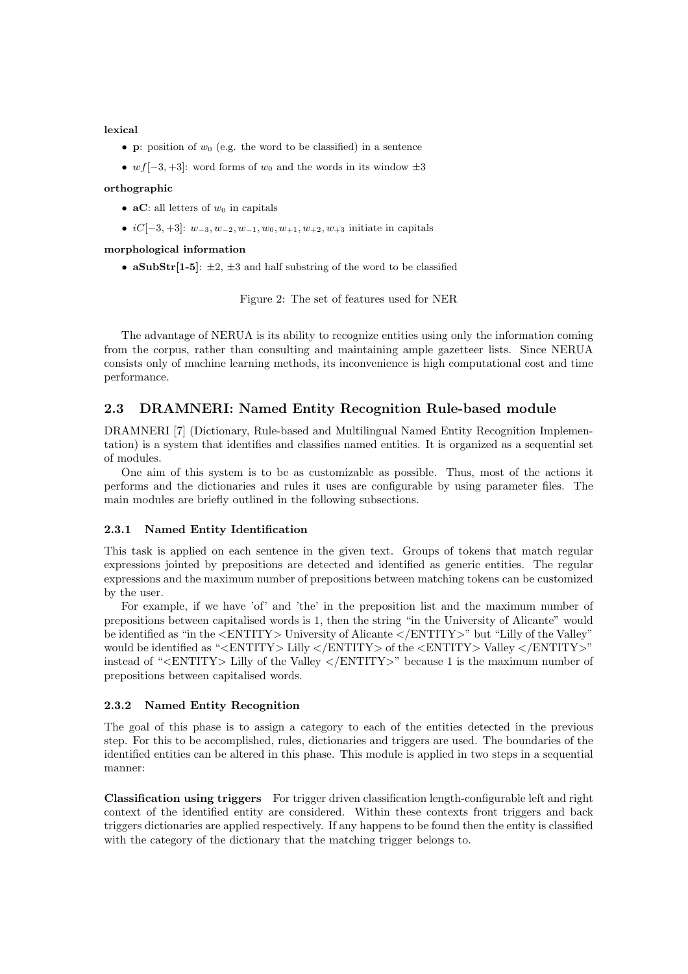lexical

- **p**: position of  $w_0$  (e.g. the word to be classified) in a sentence
- wf[-3, +3]: word forms of  $w_0$  and the words in its window  $\pm 3$

#### orthographic

- **aC**: all letters of  $w_0$  in capitals
- $iC[-3, +3]:$   $w_{-3}, w_{-2}, w_{-1}, w_0, w_{+1}, w_{+2}, w_{+3}$  initiate in capitals

#### morphological information

• aSubStr[1-5]:  $\pm 2$ ,  $\pm 3$  and half substring of the word to be classified

Figure 2: The set of features used for NER

The advantage of NERUA is its ability to recognize entities using only the information coming from the corpus, rather than consulting and maintaining ample gazetteer lists. Since NERUA consists only of machine learning methods, its inconvenience is high computational cost and time performance.

#### 2.3 DRAMNERI: Named Entity Recognition Rule-based module

DRAMNERI [7] (Dictionary, Rule-based and Multilingual Named Entity Recognition Implementation) is a system that identifies and classifies named entities. It is organized as a sequential set of modules.

One aim of this system is to be as customizable as possible. Thus, most of the actions it performs and the dictionaries and rules it uses are configurable by using parameter files. The main modules are briefly outlined in the following subsections.

#### 2.3.1 Named Entity Identification

This task is applied on each sentence in the given text. Groups of tokens that match regular expressions jointed by prepositions are detected and identified as generic entities. The regular expressions and the maximum number of prepositions between matching tokens can be customized by the user.

For example, if we have 'of' and 'the' in the preposition list and the maximum number of prepositions between capitalised words is 1, then the string "in the University of Alicante" would be identified as "in the <ENTITY> University of Alicante </ENTITY>" but "Lilly of the Valley" would be identified as "<ENTITY> Lilly </ENTITY> of the <ENTITY> Valley </ENTITY>" instead of "<ENTITY> Lilly of the Valley </ENTITY>" because 1 is the maximum number of prepositions between capitalised words.

#### 2.3.2 Named Entity Recognition

The goal of this phase is to assign a category to each of the entities detected in the previous step. For this to be accomplished, rules, dictionaries and triggers are used. The boundaries of the identified entities can be altered in this phase. This module is applied in two steps in a sequential manner:

Classification using triggers For trigger driven classification length-configurable left and right context of the identified entity are considered. Within these contexts front triggers and back triggers dictionaries are applied respectively. If any happens to be found then the entity is classified with the category of the dictionary that the matching trigger belongs to.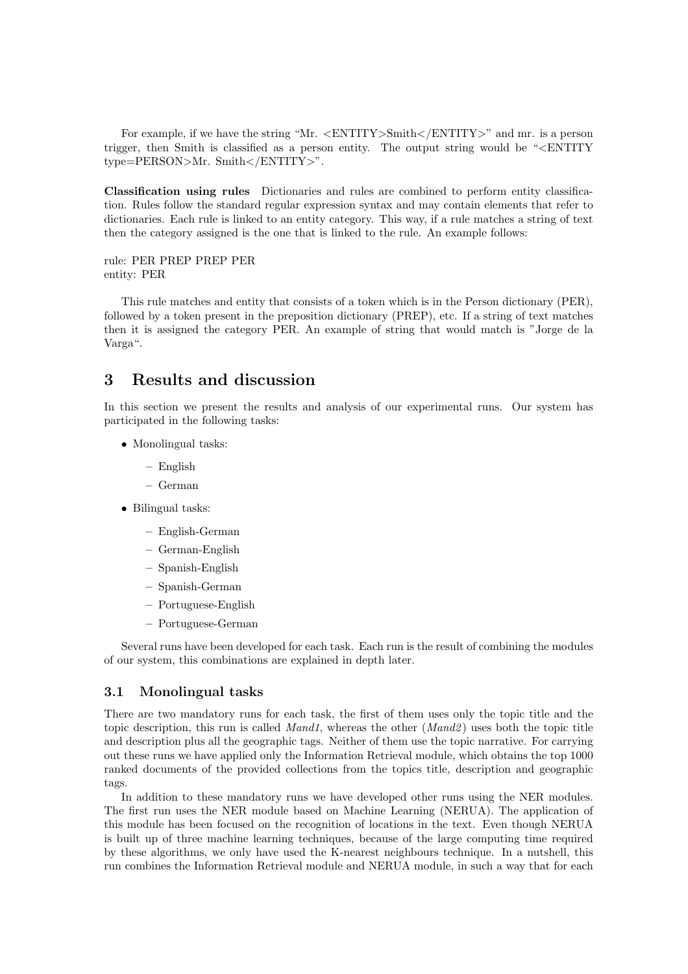For example, if we have the string "Mr. <ENTITY>Smith</ENTITY>" and mr. is a person trigger, then Smith is classified as a person entity. The output string would be "<ENTITY type=PERSON>Mr. Smith</ENTITY>".

Classification using rules Dictionaries and rules are combined to perform entity classification. Rules follow the standard regular expression syntax and may contain elements that refer to dictionaries. Each rule is linked to an entity category. This way, if a rule matches a string of text then the category assigned is the one that is linked to the rule. An example follows:

rule: PER PREP PREP PER entity: PER

This rule matches and entity that consists of a token which is in the Person dictionary (PER), followed by a token present in the preposition dictionary (PREP), etc. If a string of text matches then it is assigned the category PER. An example of string that would match is "Jorge de la Varga".

### 3 Results and discussion

In this section we present the results and analysis of our experimental runs. Our system has participated in the following tasks:

- Monolingual tasks:
	- English
	- German
- Bilingual tasks:
	- English-German
	- German-English
	- Spanish-English
	- Spanish-German
	- Portuguese-English
	- Portuguese-German

Several runs have been developed for each task. Each run is the result of combining the modules of our system, this combinations are explained in depth later.

#### 3.1 Monolingual tasks

There are two mandatory runs for each task, the first of them uses only the topic title and the topic description, this run is called *Mand1*, whereas the other  $(Mand2)$  uses both the topic title and description plus all the geographic tags. Neither of them use the topic narrative. For carrying out these runs we have applied only the Information Retrieval module, which obtains the top 1000 ranked documents of the provided collections from the topics title, description and geographic tags.

In addition to these mandatory runs we have developed other runs using the NER modules. The first run uses the NER module based on Machine Learning (NERUA). The application of this module has been focused on the recognition of locations in the text. Even though NERUA is built up of three machine learning techniques, because of the large computing time required by these algorithms, we only have used the K-nearest neighbours technique. In a nutshell, this run combines the Information Retrieval module and NERUA module, in such a way that for each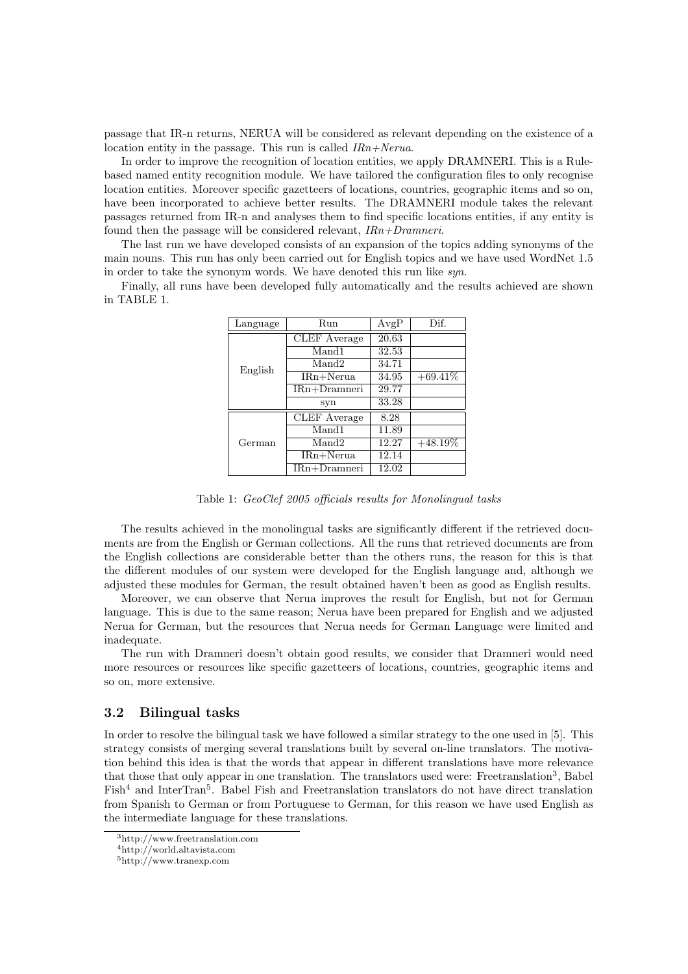passage that IR-n returns, NERUA will be considered as relevant depending on the existence of a location entity in the passage. This run is called IRn+Nerua.

In order to improve the recognition of location entities, we apply DRAMNERI. This is a Rulebased named entity recognition module. We have tailored the configuration files to only recognise location entities. Moreover specific gazetteers of locations, countries, geographic items and so on, have been incorporated to achieve better results. The DRAMNERI module takes the relevant passages returned from IR-n and analyses them to find specific locations entities, if any entity is found then the passage will be considered relevant,  $IRn+Dramneri$ .

The last run we have developed consists of an expansion of the topics adding synonyms of the main nouns. This run has only been carried out for English topics and we have used WordNet 1.5 in order to take the synonym words. We have denoted this run like syn.

Finally, all runs have been developed fully automatically and the results achieved are shown in TABLE 1.

| Language | Run            | AvgP  | Dif.       |
|----------|----------------|-------|------------|
| English  | CLEF Average   | 20.63 |            |
|          | Mand1          | 32.53 |            |
|          | Mand2          | 34.71 |            |
|          | $IRn+Nerua$    | 34.95 | $+69.41\%$ |
|          | $IRn+Dranneri$ | 29.77 |            |
|          | syn            | 33.28 |            |
| German   | CLEF Average   | 8.28  |            |
|          | Mand1          | 11.89 |            |
|          | Mand2          | 12.27 | $+48.19\%$ |
|          | $IRn+Nerua$    | 12.14 |            |
|          | $IRn+Dranneri$ | 12.02 |            |

Table 1: GeoClef 2005 officials results for Monolingual tasks

The results achieved in the monolingual tasks are significantly different if the retrieved documents are from the English or German collections. All the runs that retrieved documents are from the English collections are considerable better than the others runs, the reason for this is that the different modules of our system were developed for the English language and, although we adjusted these modules for German, the result obtained haven't been as good as English results.

Moreover, we can observe that Nerua improves the result for English, but not for German language. This is due to the same reason; Nerua have been prepared for English and we adjusted Nerua for German, but the resources that Nerua needs for German Language were limited and inadequate.

The run with Dramneri doesn't obtain good results, we consider that Dramneri would need more resources or resources like specific gazetteers of locations, countries, geographic items and so on, more extensive.

#### 3.2 Bilingual tasks

In order to resolve the bilingual task we have followed a similar strategy to the one used in [5]. This strategy consists of merging several translations built by several on-line translators. The motivation behind this idea is that the words that appear in different translations have more relevance that those that only appear in one translation. The translators used were: Freetranslation<sup>3</sup>, Babel Fish<sup>4</sup> and InterTran<sup>5</sup>. Babel Fish and Freetranslation translators do not have direct translation from Spanish to German or from Portuguese to German, for this reason we have used English as the intermediate language for these translations.

<sup>3</sup>http://www.freetranslation.com

<sup>4</sup>http://world.altavista.com

 $5\,\mathrm{http://www.tranexp.com}$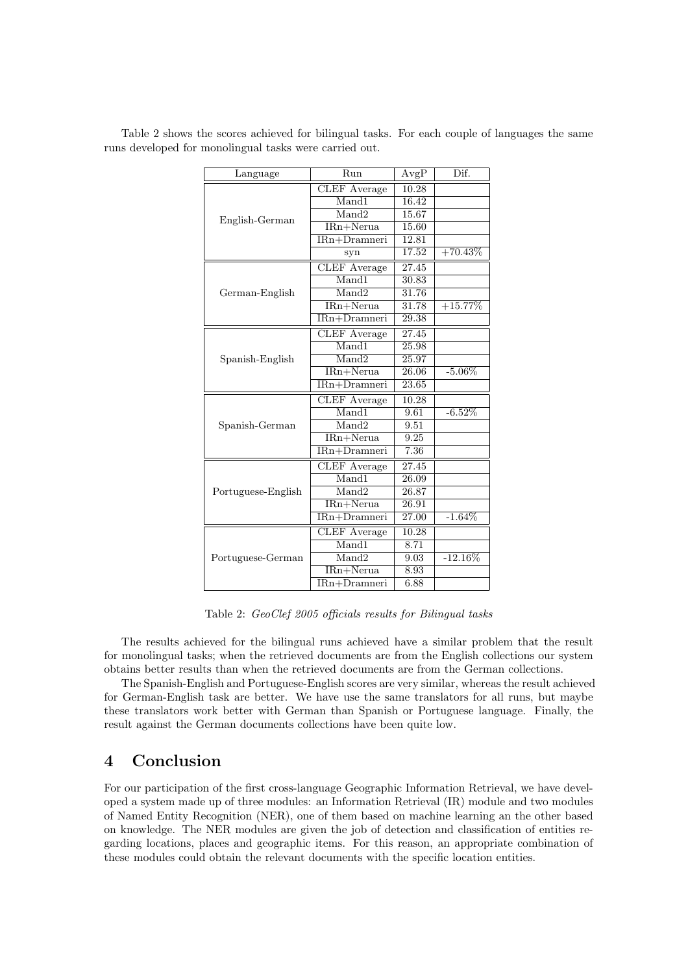| Language           | Run                 | AvgP               | Dif.       |
|--------------------|---------------------|--------------------|------------|
|                    | <b>CLEF</b> Average | 10.28              |            |
|                    | Mand1               | 16.42              |            |
| English-German     | Mand <sub>2</sub>   | 15.67              |            |
|                    | IRn+Nerua           | 15.60              |            |
|                    | $IRn+Dranneri$      | 12.81              |            |
|                    | syn                 | 17.52              | $+70.43\%$ |
|                    | <b>CLEF</b> Average | 27.45              |            |
|                    | Mand1               | 30.83              |            |
| German-English     | Mand <sub>2</sub>   | 31.76              |            |
|                    | IRn+Nerua           | 31.78              | $+15.77\%$ |
|                    | IRn+Dramneri        | 29.38              |            |
|                    | <b>CLEF</b> Average | 27.45              |            |
|                    | Mand1               | 25.98              |            |
| Spanish-English    | Mand2               | 25.97              |            |
|                    | $IRn+Nerua$         | 26.06              | $-5.06\%$  |
|                    | IRn+Dramneri        | 23.65              |            |
|                    | <b>CLEF</b> Average | 10.28              |            |
|                    | Mand1               | 9.61               | $-6.52\%$  |
| Spanish-German     | Mand2               | 9.51               |            |
|                    | IRn+Nerua           | 9.25               |            |
|                    | IRn+Dramneri        | 7.36               |            |
|                    | <b>CLEF</b> Average | $\overline{27.45}$ |            |
|                    | Mand1               | 26.09              |            |
| Portuguese-English | Mand2               | 26.87              |            |
|                    | IRn+Nerua           | 26.91              |            |
|                    | IRn+Dramneri        | 27.00              | $-1.64\%$  |
|                    | <b>CLEF</b> Average | 10.28              |            |
|                    | Mand1               | 8.71               |            |
| Portuguese-German  | Mand2               | 9.03               | $-12.16\%$ |
|                    | IRn+Nerua           | 8.93               |            |
|                    | IRn+Dramneri        | 6.88               |            |

Table 2 shows the scores achieved for bilingual tasks. For each couple of languages the same runs developed for monolingual tasks were carried out.

Table 2: GeoClef 2005 officials results for Bilingual tasks

The results achieved for the bilingual runs achieved have a similar problem that the result for monolingual tasks; when the retrieved documents are from the English collections our system obtains better results than when the retrieved documents are from the German collections.

The Spanish-English and Portuguese-English scores are very similar, whereas the result achieved for German-English task are better. We have use the same translators for all runs, but maybe these translators work better with German than Spanish or Portuguese language. Finally, the result against the German documents collections have been quite low.

### 4 Conclusion

For our participation of the first cross-language Geographic Information Retrieval, we have developed a system made up of three modules: an Information Retrieval (IR) module and two modules of Named Entity Recognition (NER), one of them based on machine learning an the other based on knowledge. The NER modules are given the job of detection and classification of entities regarding locations, places and geographic items. For this reason, an appropriate combination of these modules could obtain the relevant documents with the specific location entities.